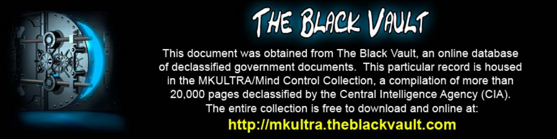

This document was obtained from The Black Vault, an online database of declassified government documents. This particular record is housed in the MKULTRA/Mind Control Collection, a compilation of more than 20,000 pages declassified by the Central Intelligence Agency (CIA). The entire collection is free to download and online at: http://mkultra.theblackvault.com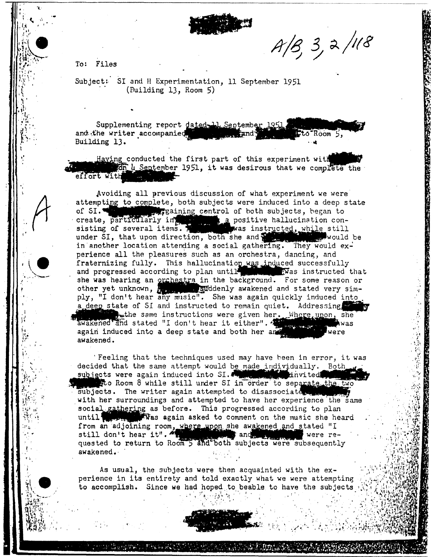

 $A/B$ , 3, 2/118

To: Files

Subject: SI and H Experimentation, 11 September 1951  $(Building 13, Room 5)$ 

Supplementing report dated 11. September 1951. and the writer accompanied, Lto Room 5, Building 13.

Having conducted the first part of this experiment with fon 4 September 1951, it was desirous that we complete the effort with

Avoiding all previous discussion of what experiment we were attempting to complete, both subjects were induced into a deep state of SI. The particularly in paining control of both subjects, began to create, particularly in the approximation consisting of several items. sisting of several items. The was instructed, while still under SI, that upon direction, both she and production. would be in another location attending a social gathering. They would experience all the pleasures such as an orchestra, dancing, and fraternizing fully. This hallucination was induced successfully and progressed according to plan until the was instructed that she was hearing an <u>orchestra</u> in the background. For some reason or other yet unknown, because suddenly awakened and stated very simply, "I don't hear any music". She was again quickly induced into a deep state of SI and instructed to remain quiet. Addressing the same instructions were given her. Where upon, she awakened and stated "I don't hear it either". was an<br>Stational Control again induced into a deep state and both her and awakened.

Feeling that the techniques used may have been in error, it was decided that the same attempt would be made individually. Both subjects were again induced into SI. hnvited!  $\mathbf{z}$ ato Room 8 while still under SI in order to separate the two subjects. The writer again attempted to disassociate with her surroundings and attempted to have her experience the same social gathering as before. This progressed according to plan with the again asked to comment on the music she heard until **T** from an adjoining room, where upon she awakened and stated "I<br>still don't hear it". The angle and stated "I were re-<br>quested to return to Room 5 and both subjects were subsequently awakened.

As usual, the subjects were then acquainted with the experience in its entirety and told exactly what we were attempting to accomplish. Since we had hoped to beable to have the subjects



机动 监卫的的